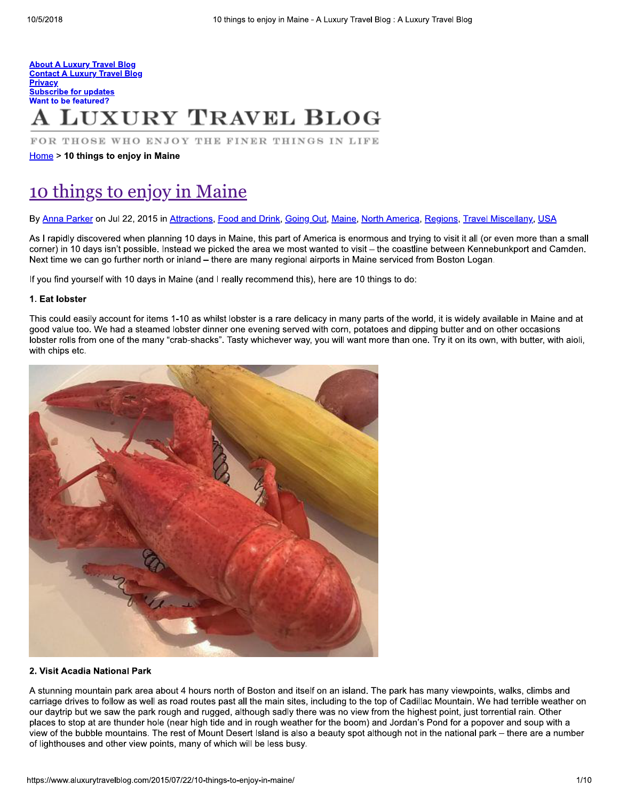## **About A Luxury Travel Blog Contact A Luxury Travel Blog Privacy Subscribe for updates Want to be featured? LUXURY TRAVEL BLOG**

FOR THOSE WHO ENJOY THE FINER THINGS IN LIFE

Home > 10 things to enjoy in Maine

## 10 things to enjoy in Maine

By Anna Parker on Jul 22, 2015 in Attractions, Food and Drink, Going Out, Maine, North America, Regions, Travel Miscellany, USA

As I rapidly discovered when planning 10 days in Maine, this part of America is enormous and trying to visit it all (or even more than a small corner) in 10 days isn't possible. Instead we picked the area we most wanted to visit – the coastline between Kennebunkport and Camden. Next time we can go further north or inland – there are many regional airports in Maine serviced from Boston Logan.

If you find yourself with 10 days in Maine (and I really recommend this), here are 10 things to do:

#### 1. Eat lobster

This could easily account for items 1-10 as whilst lobster is a rare delicacy in many parts of the world, it is widely available in Maine and at good value too. We had a steamed lobster dinner one evening served with corn, potatoes and dipping butter and on other occasions lobster rolls from one of the many "crab-shacks". Tasty whichever way, you will want more than one. Try it on its own, with butter, with aioli, with chips etc.



#### 2. Visit Acadia National Park

A stunning mountain park area about 4 hours north of Boston and itself on an island. The park has many viewpoints, walks, climbs and carriage drives to follow as well as road routes past all the main sites, including to the top of Cadillac Mountain. We had terrible weather on our daytrip but we saw the park rough and rugged, although sadly there was no view from the highest point, just torrential rain. Other places to stop at are thunder hole (near high tide and in rough weather for the boom) and Jordan's Pond for a popover and soup with a view of the bubble mountains. The rest of Mount Desert Island is also a beauty spot although not in the national park – there are a number of lighthouses and other view points, many of which will be less busy.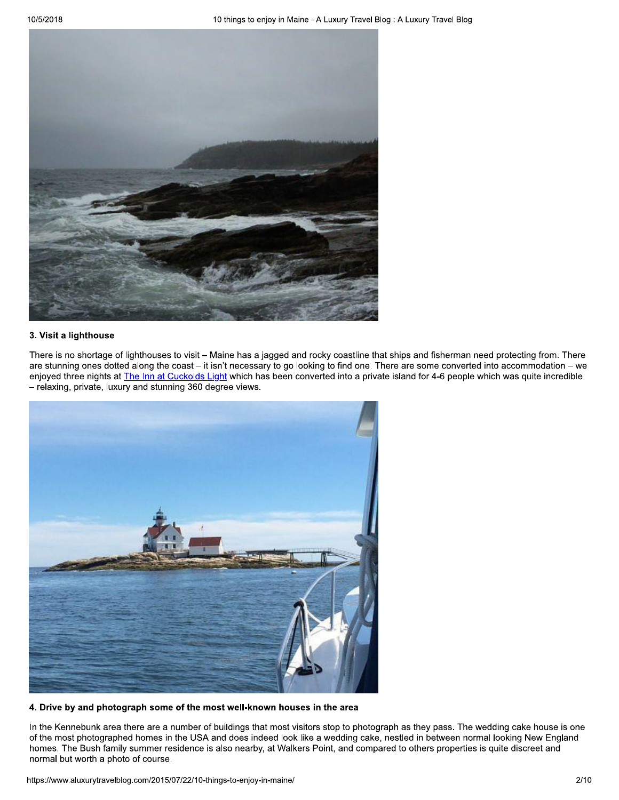

### 3. Visit a lighthouse

There is no shortage of lighthouses to visit - Maine has a jagged and rocky coastline that ships and fisherman need protecting from. There are stunning ones dotted along the coast – it isn't necessary to go looking to find one. There are some converted into accommodation – we enjoyed three nights at The Inn at Cuckolds Light which has been converted into a private island for 4-6 people which was quite incredible - relaxing, private, luxury and stunning 360 degree views.



## 4. Drive by and photograph some of the most well-known houses in the area

In the Kennebunk area there are a number of buildings that most visitors stop to photograph as they pass. The wedding cake house is one of the most photographed homes in the USA and does indeed look like a wedding cake, nestled in between normal looking New England homes. The Bush family summer residence is also nearby, at Walkers Point, and compared to others properties is quite discreet and normal but worth a photo of course.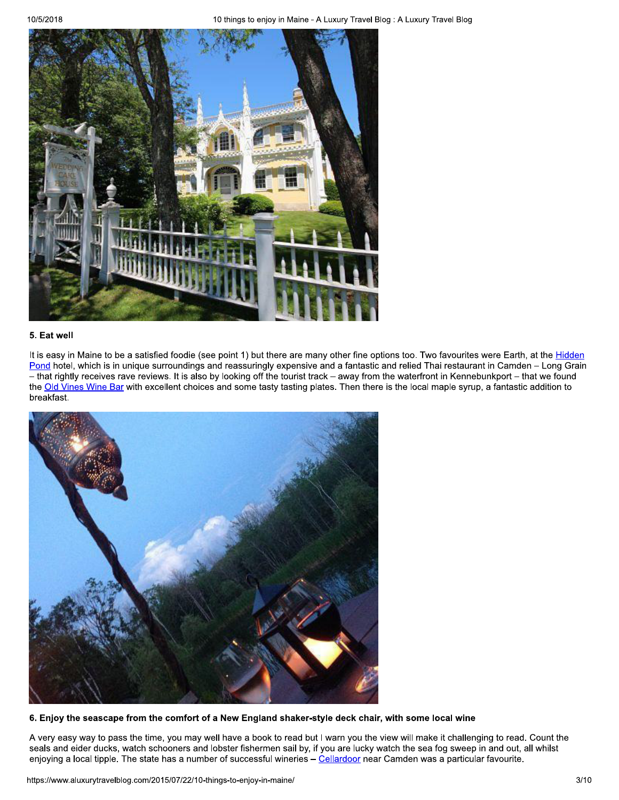

#### 5. Eat well

It is easy in Maine to be a satisfied foodie (see point 1) but there are many other fine options too. Two favourites were Earth, at the Hidden Pond hotel, which is in unique surroundings and reassuringly expensive and a fantastic and relied Thai restaurant in Camden - Long Grain - that rightly receives rave reviews. It is also by looking off the tourist track - away from the waterfront in Kennebunkport - that we found the Old Vines Wine Bar with excellent choices and some tasty tasting plates. Then there is the local maple syrup, a fantastic addition to breakfast.



6. Enjoy the seascape from the comfort of a New England shaker-style deck chair, with some local wine

A very easy way to pass the time, you may well have a book to read but I warn you the view will make it challenging to read. Count the seals and eider ducks, watch schooners and lobster fishermen sail by, if you are lucky watch the sea fog sweep in and out, all whilst enjoying a local tipple. The state has a number of successful wineries - Cellardoor near Camden was a particular favourite.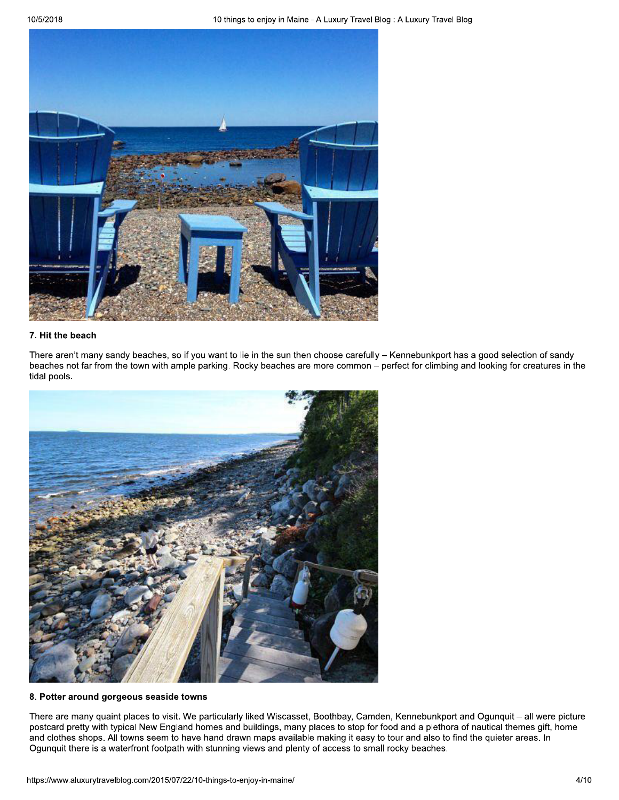

### 7. Hit the beach

There aren't many sandy beaches, so if you want to lie in the sun then choose carefully - Kennebunkport has a good selection of sandy beaches not far from the town with ample parking. Rocky beaches are more common – perfect for climbing and looking for creatures in the tidal pools.



## 8. Potter around gorgeous seaside towns

There are many quaint places to visit. We particularly liked Wiscasset, Boothbay, Camden, Kennebunkport and Ogunquit - all were picture postcard pretty with typical New England homes and buildings, many places to stop for food and a plethora of nautical themes gift, home and clothes shops. All towns seem to have hand drawn maps available making it easy to tour and also to find the quieter areas. In Ogunquit there is a waterfront footpath with stunning views and plenty of access to small rocky beaches.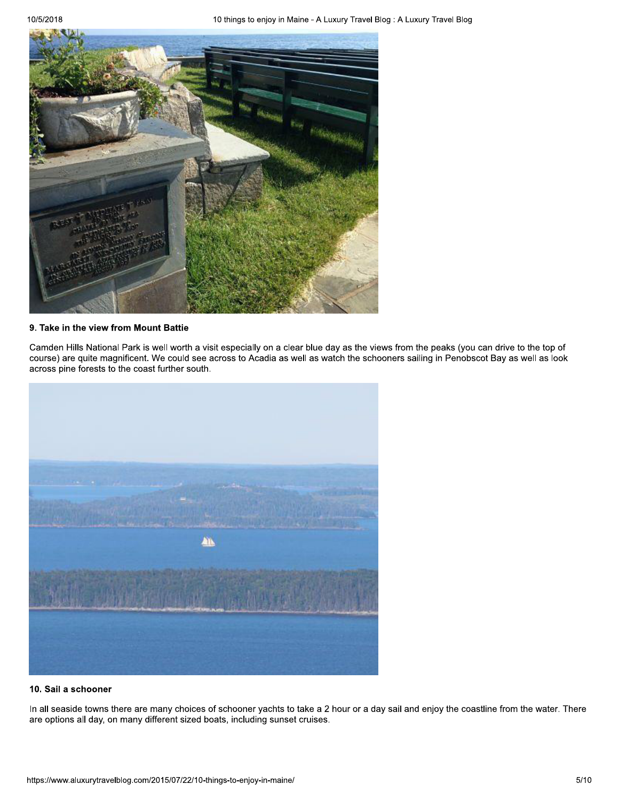

## 9. Take in the view from Mount Battie

Camden Hills National Park is well worth a visit especially on a clear blue day as the views from the peaks (you can drive to the top of course) are quite magnificent. We could see across to Acadia as well as watch the schooners sailing in Penobscot Bay as well as look across pine forests to the coast further south.



## 10. Sail a schooner

In all seaside towns there are many choices of schooner yachts to take a 2 hour or a day sail and enjoy the coastline from the water. There are options all day, on many different sized boats, including sunset cruises.